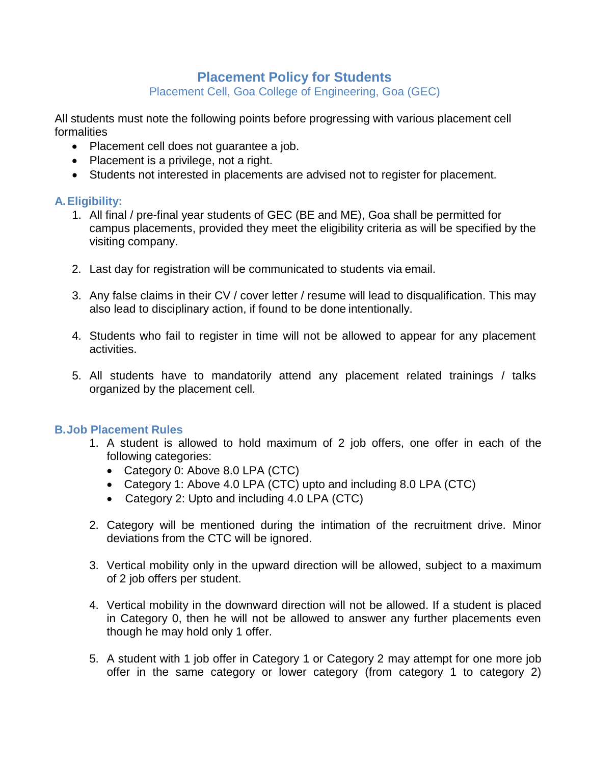# **Placement Policy for Students**

Placement Cell, Goa College of Engineering, Goa (GEC)

All students must note the following points before progressing with various placement cell formalities

- Placement cell does not guarantee a job.
- Placement is a privilege, not a right.
- Students not interested in placements are advised not to register for placement.

## **A.Eligibility:**

- 1. All final / pre-final year students of GEC (BE and ME), Goa shall be permitted for campus placements, provided they meet the eligibility criteria as will be specified by the visiting company.
- 2. Last day for registration will be communicated to students via email.
- 3. Any false claims in their CV / cover letter / resume will lead to disqualification. This may also lead to disciplinary action, if found to be done intentionally.
- 4. Students who fail to register in time will not be allowed to appear for any placement activities.
- 5. All students have to mandatorily attend any placement related trainings / talks organized by the placement cell.

## **B.Job Placement Rules**

- 1. A student is allowed to hold maximum of 2 job offers, one offer in each of the following categories:
	- Category 0: Above 8.0 LPA (CTC)
	- Category 1: Above 4.0 LPA (CTC) upto and including 8.0 LPA (CTC)
	- Category 2: Upto and including 4.0 LPA (CTC)
- 2. Category will be mentioned during the intimation of the recruitment drive. Minor deviations from the CTC will be ignored.
- 3. Vertical mobility only in the upward direction will be allowed, subject to a maximum of 2 job offers per student.
- 4. Vertical mobility in the downward direction will not be allowed. If a student is placed in Category 0, then he will not be allowed to answer any further placements even though he may hold only 1 offer.
- 5. A student with 1 job offer in Category 1 or Category 2 may attempt for one more job offer in the same category or lower category (from category 1 to category 2)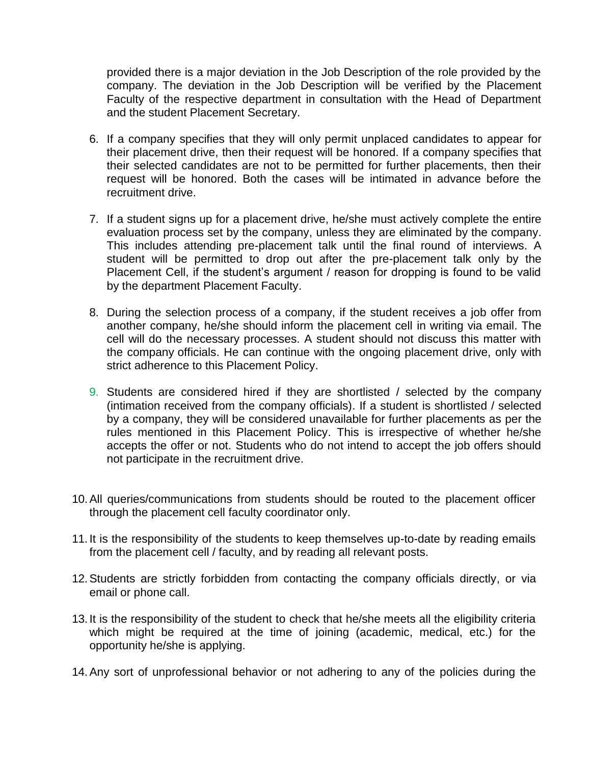provided there is a major deviation in the Job Description of the role provided by the company. The deviation in the Job Description will be verified by the Placement Faculty of the respective department in consultation with the Head of Department and the student Placement Secretary.

- 6. If a company specifies that they will only permit unplaced candidates to appear for their placement drive, then their request will be honored. If a company specifies that their selected candidates are not to be permitted for further placements, then their request will be honored. Both the cases will be intimated in advance before the recruitment drive.
- 7. If a student signs up for a placement drive, he/she must actively complete the entire evaluation process set by the company, unless they are eliminated by the company. This includes attending pre-placement talk until the final round of interviews. A student will be permitted to drop out after the pre-placement talk only by the Placement Cell, if the student's argument / reason for dropping is found to be valid by the department Placement Faculty.
- 8. During the selection process of a company, if the student receives a job offer from another company, he/she should inform the placement cell in writing via email. The cell will do the necessary processes. A student should not discuss this matter with the company officials. He can continue with the ongoing placement drive, only with strict adherence to this Placement Policy.
- 9. Students are considered hired if they are shortlisted / selected by the company (intimation received from the company officials). If a student is shortlisted / selected by a company, they will be considered unavailable for further placements as per the rules mentioned in this Placement Policy. This is irrespective of whether he/she accepts the offer or not. Students who do not intend to accept the job offers should not participate in the recruitment drive.
- 10.All queries/communications from students should be routed to the placement officer through the placement cell faculty coordinator only.
- 11. It is the responsibility of the students to keep themselves up-to-date by reading emails from the placement cell / faculty, and by reading all relevant posts.
- 12.Students are strictly forbidden from contacting the company officials directly, or via email or phone call.
- 13. It is the responsibility of the student to check that he/she meets all the eligibility criteria which might be required at the time of joining (academic, medical, etc.) for the opportunity he/she is applying.
- 14.Any sort of unprofessional behavior or not adhering to any of the policies during the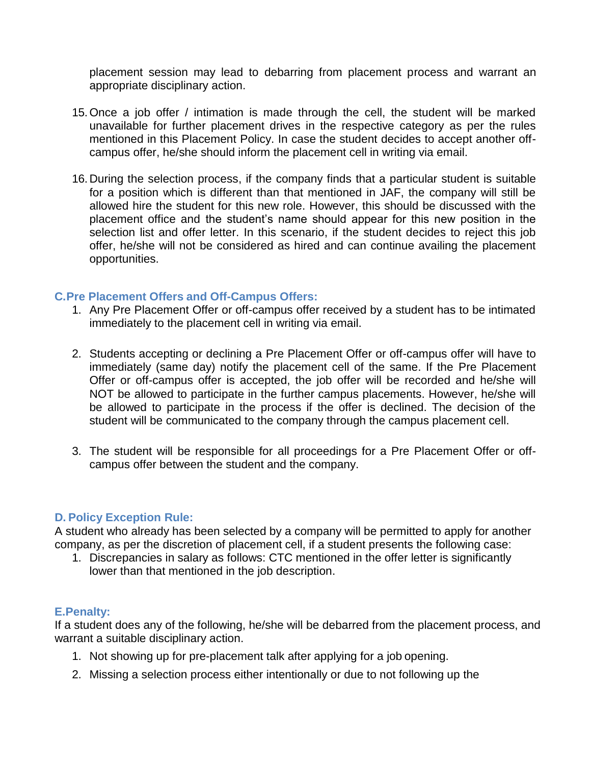placement session may lead to debarring from placement process and warrant an appropriate disciplinary action.

- 15.Once a job offer / intimation is made through the cell, the student will be marked unavailable for further placement drives in the respective category as per the rules mentioned in this Placement Policy. In case the student decides to accept another offcampus offer, he/she should inform the placement cell in writing via email.
- 16.During the selection process, if the company finds that a particular student is suitable for a position which is different than that mentioned in JAF, the company will still be allowed hire the student for this new role. However, this should be discussed with the placement office and the student's name should appear for this new position in the selection list and offer letter. In this scenario, if the student decides to reject this job offer, he/she will not be considered as hired and can continue availing the placement opportunities.

## **C.Pre Placement Offers and Off-Campus Offers:**

- 1. Any Pre Placement Offer or off-campus offer received by a student has to be intimated immediately to the placement cell in writing via email.
- 2. Students accepting or declining a Pre Placement Offer or off-campus offer will have to immediately (same day) notify the placement cell of the same. If the Pre Placement Offer or off-campus offer is accepted, the job offer will be recorded and he/she will NOT be allowed to participate in the further campus placements. However, he/she will be allowed to participate in the process if the offer is declined. The decision of the student will be communicated to the company through the campus placement cell.
- 3. The student will be responsible for all proceedings for a Pre Placement Offer or offcampus offer between the student and the company.

#### **D. Policy Exception Rule:**

A student who already has been selected by a company will be permitted to apply for another company, as per the discretion of placement cell, if a student presents the following case:

1. Discrepancies in salary as follows: CTC mentioned in the offer letter is significantly lower than that mentioned in the job description.

#### **E.Penalty:**

If a student does any of the following, he/she will be debarred from the placement process, and warrant a suitable disciplinary action.

- 1. Not showing up for pre-placement talk after applying for a job opening.
- 2. Missing a selection process either intentionally or due to not following up the